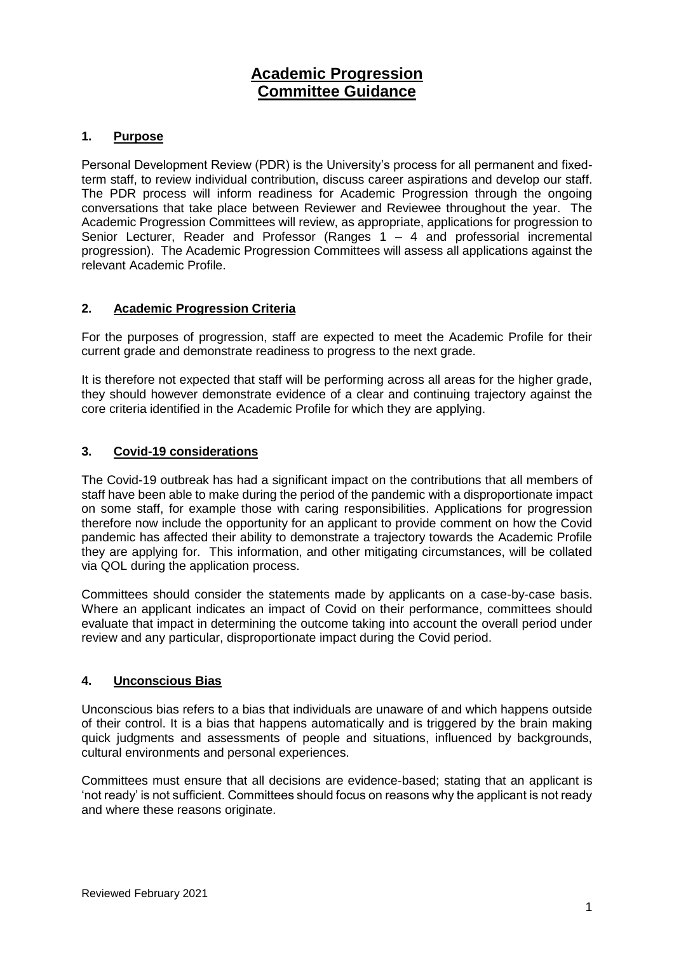## **Academic Progression Committee Guidance**

## **1. Purpose**

Personal Development Review (PDR) is the University's process for all permanent and fixedterm staff, to review individual contribution, discuss career aspirations and develop our staff. The PDR process will inform readiness for Academic Progression through the ongoing conversations that take place between Reviewer and Reviewee throughout the year. The Academic Progression Committees will review, as appropriate, applications for progression to Senior Lecturer, Reader and Professor (Ranges 1 – 4 and professorial incremental progression). The Academic Progression Committees will assess all applications against the relevant Academic Profile.

## **2. Academic Progression Criteria**

For the purposes of progression, staff are expected to meet the Academic Profile for their current grade and demonstrate readiness to progress to the next grade.

It is therefore not expected that staff will be performing across all areas for the higher grade, they should however demonstrate evidence of a clear and continuing trajectory against the core criteria identified in the Academic Profile for which they are applying.

## **3. Covid-19 considerations**

The Covid-19 outbreak has had a significant impact on the contributions that all members of staff have been able to make during the period of the pandemic with a disproportionate impact on some staff, for example those with caring responsibilities. Applications for progression therefore now include the opportunity for an applicant to provide comment on how the Covid pandemic has affected their ability to demonstrate a trajectory towards the Academic Profile they are applying for. This information, and other mitigating circumstances, will be collated via QOL during the application process.

Committees should consider the statements made by applicants on a case-by-case basis. Where an applicant indicates an impact of Covid on their performance, committees should evaluate that impact in determining the outcome taking into account the overall period under review and any particular, disproportionate impact during the Covid period.

## **4. Unconscious Bias**

Unconscious bias refers to a bias that individuals are unaware of and which happens outside of their control. It is a bias that happens automatically and is triggered by the brain making quick judgments and assessments of people and situations, influenced by backgrounds, cultural environments and personal experiences.

Committees must ensure that all decisions are evidence-based; stating that an applicant is 'not ready' is not sufficient. Committees should focus on reasons why the applicant is not ready and where these reasons originate.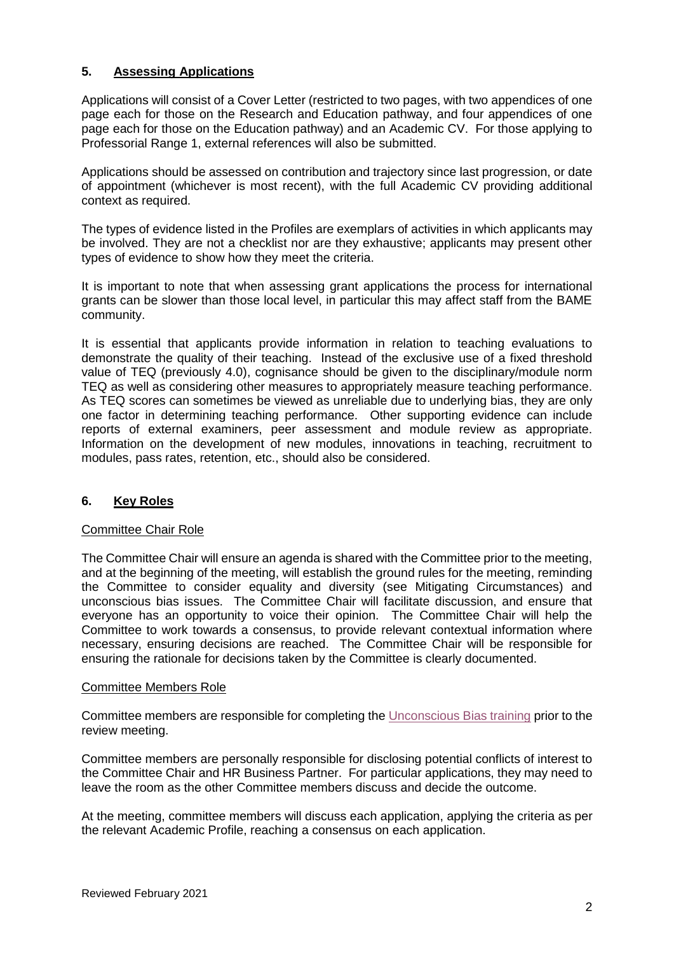## **5. Assessing Applications**

Applications will consist of a Cover Letter (restricted to two pages, with two appendices of one page each for those on the Research and Education pathway, and four appendices of one page each for those on the Education pathway) and an Academic CV. For those applying to Professorial Range 1, external references will also be submitted.

Applications should be assessed on contribution and trajectory since last progression, or date of appointment (whichever is most recent), with the full Academic CV providing additional context as required.

The types of evidence listed in the Profiles are exemplars of activities in which applicants may be involved. They are not a checklist nor are they exhaustive; applicants may present other types of evidence to show how they meet the criteria.

It is important to note that when assessing grant applications the process for international grants can be slower than those local level, in particular this may affect staff from the BAME community.

It is essential that applicants provide information in relation to teaching evaluations to demonstrate the quality of their teaching. Instead of the exclusive use of a fixed threshold value of TEQ (previously 4.0), cognisance should be given to the disciplinary/module norm TEQ as well as considering other measures to appropriately measure teaching performance. As TEQ scores can sometimes be viewed as unreliable due to underlying bias, they are only one factor in determining teaching performance. Other supporting evidence can include reports of external examiners, peer assessment and module review as appropriate. Information on the development of new modules, innovations in teaching, recruitment to modules, pass rates, retention, etc., should also be considered.

## **6. Key Roles**

## Committee Chair Role

The Committee Chair will ensure an agenda is shared with the Committee prior to the meeting, and at the beginning of the meeting, will establish the ground rules for the meeting, reminding the Committee to consider equality and diversity (see Mitigating Circumstances) and unconscious bias issues. The Committee Chair will facilitate discussion, and ensure that everyone has an opportunity to voice their opinion. The Committee Chair will help the Committee to work towards a consensus, to provide relevant contextual information where necessary, ensuring decisions are reached. The Committee Chair will be responsible for ensuring the rationale for decisions taken by the Committee is clearly documented.

#### Committee Members Role

Committee members are responsible for completing the [Unconscious Bias training](https://www.qub.ac.uk/sites/stdp/coursedetails/UnconsciousBias.html) prior to the review meeting.

Committee members are personally responsible for disclosing potential conflicts of interest to the Committee Chair and HR Business Partner. For particular applications, they may need to leave the room as the other Committee members discuss and decide the outcome.

At the meeting, committee members will discuss each application, applying the criteria as per the relevant Academic Profile, reaching a consensus on each application.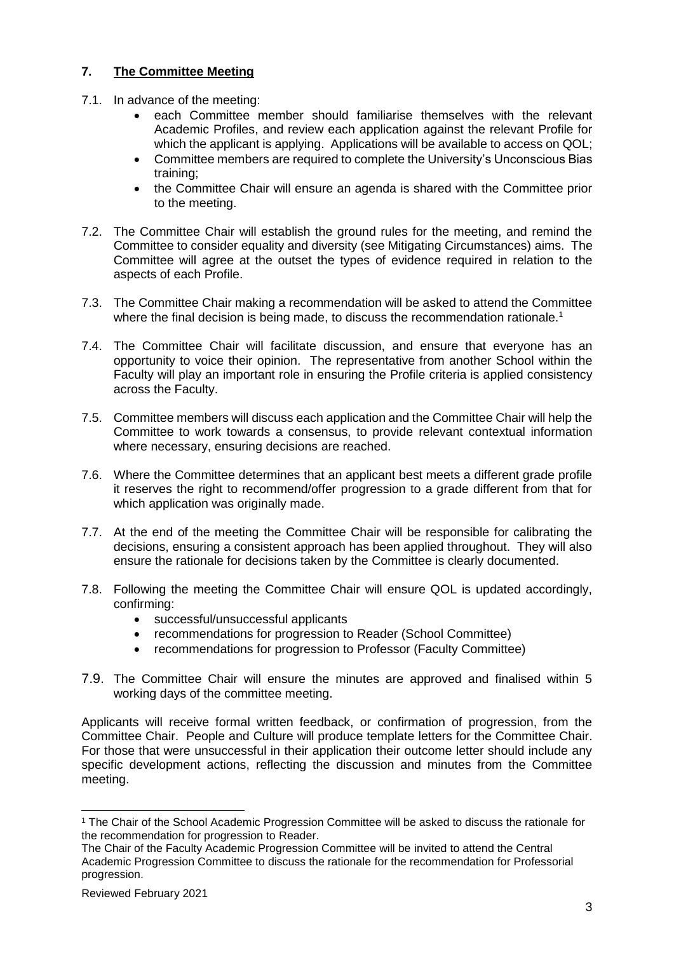## **7. The Committee Meeting**

- 7.1. In advance of the meeting:
	- each Committee member should familiarise themselves with the relevant Academic Profiles, and review each application against the relevant Profile for which the applicant is applying. Applications will be available to access on QOL;
	- Committee members are required to complete the University's Unconscious Bias training;
	- the Committee Chair will ensure an agenda is shared with the Committee prior to the meeting.
- 7.2. The Committee Chair will establish the ground rules for the meeting, and remind the Committee to consider equality and diversity (see Mitigating Circumstances) aims. The Committee will agree at the outset the types of evidence required in relation to the aspects of each Profile.
- 7.3. The Committee Chair making a recommendation will be asked to attend the Committee where the final decision is being made, to discuss the recommendation rationale.<sup>1</sup>
- 7.4. The Committee Chair will facilitate discussion, and ensure that everyone has an opportunity to voice their opinion. The representative from another School within the Faculty will play an important role in ensuring the Profile criteria is applied consistency across the Faculty.
- 7.5. Committee members will discuss each application and the Committee Chair will help the Committee to work towards a consensus, to provide relevant contextual information where necessary, ensuring decisions are reached.
- 7.6. Where the Committee determines that an applicant best meets a different grade profile it reserves the right to recommend/offer progression to a grade different from that for which application was originally made.
- 7.7. At the end of the meeting the Committee Chair will be responsible for calibrating the decisions, ensuring a consistent approach has been applied throughout. They will also ensure the rationale for decisions taken by the Committee is clearly documented.
- 7.8. Following the meeting the Committee Chair will ensure QOL is updated accordingly, confirming:
	- successful/unsuccessful applicants
	- recommendations for progression to Reader (School Committee)
	- recommendations for progression to Professor (Faculty Committee)
- 7.9. The Committee Chair will ensure the minutes are approved and finalised within 5 working days of the committee meeting.

Applicants will receive formal written feedback, or confirmation of progression, from the Committee Chair. People and Culture will produce template letters for the Committee Chair. For those that were unsuccessful in their application their outcome letter should include any specific development actions, reflecting the discussion and minutes from the Committee meeting.

-

<sup>1</sup> The Chair of the School Academic Progression Committee will be asked to discuss the rationale for the recommendation for progression to Reader.

The Chair of the Faculty Academic Progression Committee will be invited to attend the Central Academic Progression Committee to discuss the rationale for the recommendation for Professorial progression.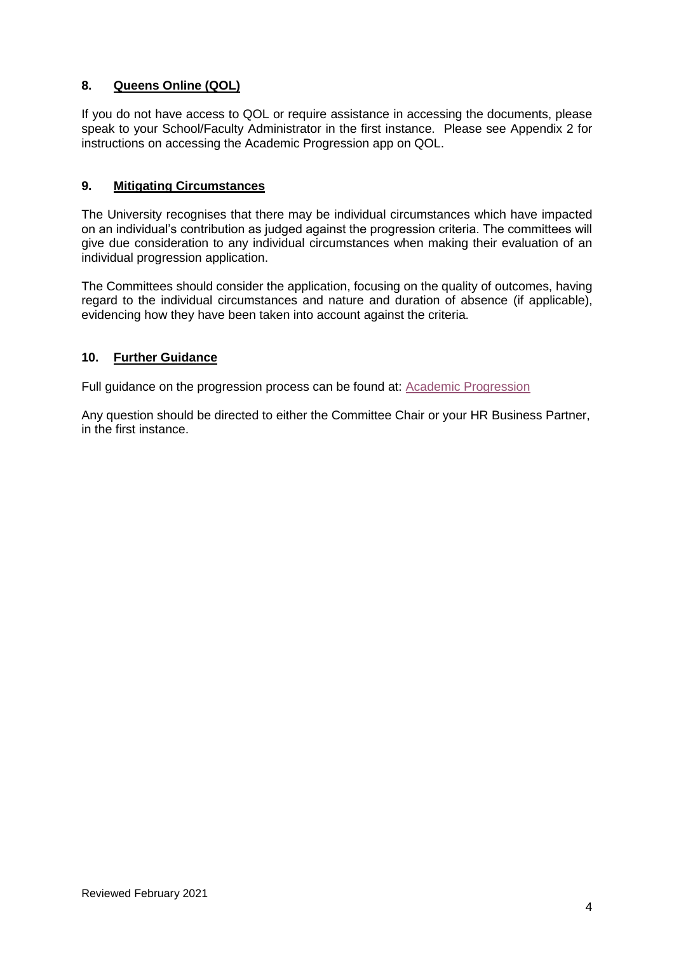## **8. Queens Online (QOL)**

If you do not have access to QOL or require assistance in accessing the documents, please speak to your School/Faculty Administrator in the first instance. Please see Appendix 2 for instructions on accessing the Academic Progression app on QOL.

## **9. Mitigating Circumstances**

The University recognises that there may be individual circumstances which have impacted on an individual's contribution as judged against the progression criteria. The committees will give due consideration to any individual circumstances when making their evaluation of an individual progression application.

The Committees should consider the application, focusing on the quality of outcomes, having regard to the individual circumstances and nature and duration of absence (if applicable), evidencing how they have been taken into account against the criteria.

## **10. Further Guidance**

Full guidance on the progression process can be found at: [Academic Progression](https://www.qub.ac.uk/directorates/HumanResources/employees/career-progression/academic-progression/)

Any question should be directed to either the Committee Chair or your HR Business Partner, in the first instance.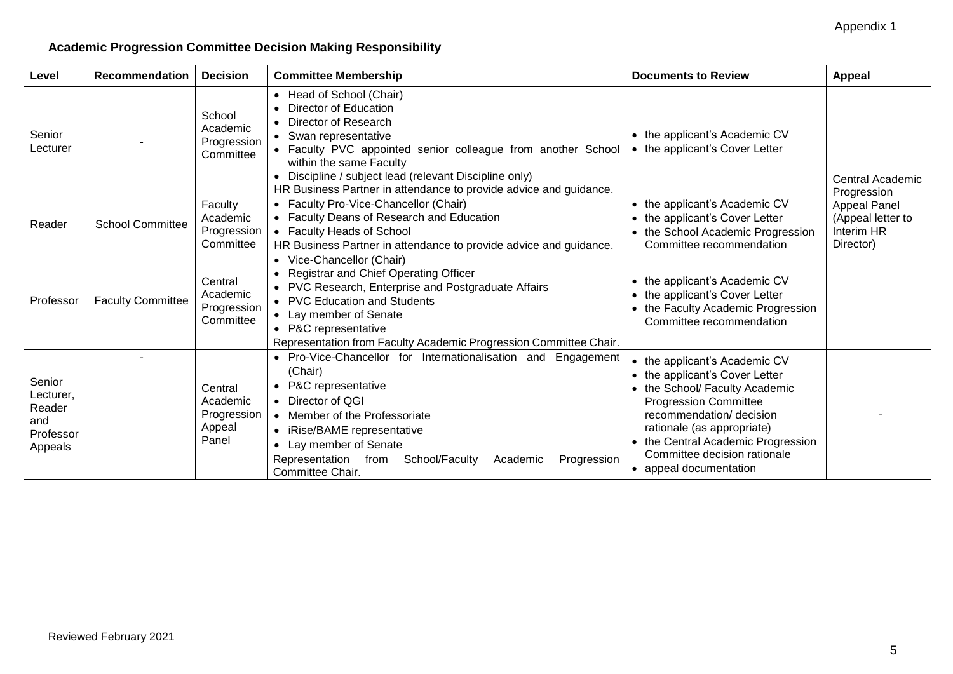## **Academic Progression Committee Decision Making Responsibility**

| Level                                                        | Recommendation           | <b>Decision</b>                                       | <b>Committee Membership</b>                                                                                                                                                                                                                                                                                                    | <b>Documents to Review</b>                                                                                                                                                                                                                                                                  | <b>Appeal</b>                                                                                          |
|--------------------------------------------------------------|--------------------------|-------------------------------------------------------|--------------------------------------------------------------------------------------------------------------------------------------------------------------------------------------------------------------------------------------------------------------------------------------------------------------------------------|---------------------------------------------------------------------------------------------------------------------------------------------------------------------------------------------------------------------------------------------------------------------------------------------|--------------------------------------------------------------------------------------------------------|
| Senior<br>Lecturer                                           |                          | School<br>Academic<br>Progression<br>Committee        | • Head of School (Chair)<br>• Director of Education<br>• Director of Research<br>• Swan representative<br>• Faculty PVC appointed senior colleague from another School<br>within the same Faculty<br>Discipline / subject lead (relevant Discipline only)<br>HR Business Partner in attendance to provide advice and guidance. | • the applicant's Academic CV<br>• the applicant's Cover Letter                                                                                                                                                                                                                             | Central Academic<br>Progression<br><b>Appeal Panel</b><br>(Appeal letter to<br>Interim HR<br>Director) |
| Reader                                                       | <b>School Committee</b>  | Faculty<br>Academic<br>Progression<br>Committee       | • Faculty Pro-Vice-Chancellor (Chair)<br>• Faculty Deans of Research and Education<br>• Faculty Heads of School<br>HR Business Partner in attendance to provide advice and guidance.                                                                                                                                           | • the applicant's Academic CV<br>• the applicant's Cover Letter<br>• the School Academic Progression<br>Committee recommendation                                                                                                                                                            |                                                                                                        |
| Professor                                                    | <b>Faculty Committee</b> | Central<br>Academic<br>Progression<br>Committee       | • Vice-Chancellor (Chair)<br>• Registrar and Chief Operating Officer<br>• PVC Research, Enterprise and Postgraduate Affairs<br>• PVC Education and Students<br>• Lay member of Senate<br>• P&C representative<br>Representation from Faculty Academic Progression Committee Chair.                                             | • the applicant's Academic CV<br>the applicant's Cover Letter<br>the Faculty Academic Progression<br>Committee recommendation                                                                                                                                                               |                                                                                                        |
| Senior<br>Lecturer,<br>Reader<br>and<br>Professor<br>Appeals |                          | Central<br>Academic<br>Progression<br>Appeal<br>Panel | • Pro-Vice-Chancellor for Internationalisation and<br>Engagement<br>(Chair)<br>• P&C representative<br>• Director of QGI<br>• Member of the Professoriate<br>• iRise/BAME representative<br>• Lay member of Senate<br>Representation<br>School/Faculty<br>Progression<br>Academic<br>from<br>Committee Chair.                  | • the applicant's Academic CV<br>• the applicant's Cover Letter<br>• the School/ Faculty Academic<br><b>Progression Committee</b><br>recommendation/ decision<br>rationale (as appropriate)<br>• the Central Academic Progression<br>Committee decision rationale<br>• appeal documentation |                                                                                                        |